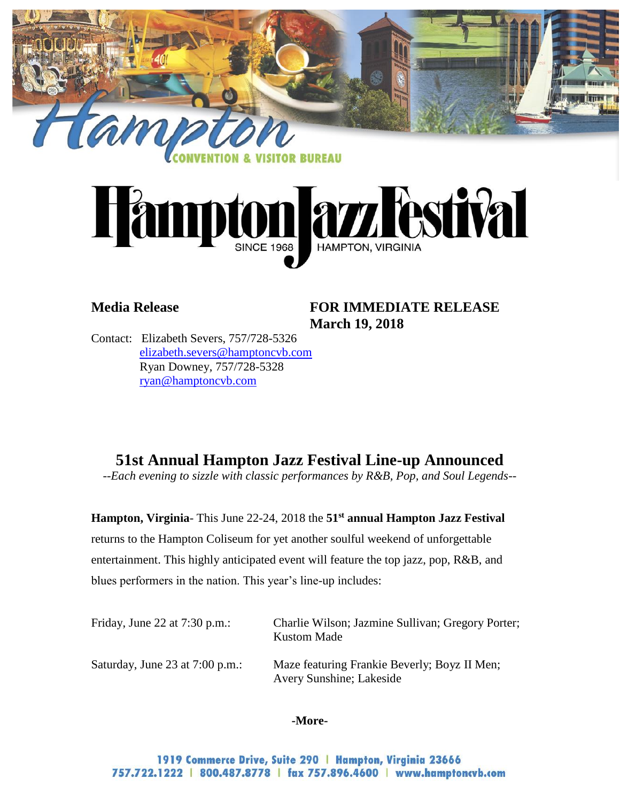



## **Media Release FOR IMMEDIATE RELEASE March 19, 2018**

Contact: Elizabeth Severs, 757/728-5326 [elizabeth.severs@hamptoncvb.com](mailto:elizabeth.severs@hamptoncvb.com) Ryan Downey, 757/728-5328 ryan@hamptoncvb.com

# **51st Annual Hampton Jazz Festival Line-up Announced**

*--Each evening to sizzle with classic performances by R&B, Pop, and Soul Legends--*

**Hampton, Virginia**- This June 22-24, 2018 the **51st annual Hampton Jazz Festival** returns to the Hampton Coliseum for yet another soulful weekend of unforgettable entertainment. This highly anticipated event will feature the top jazz, pop, R&B, and blues performers in the nation. This year's line-up includes:

| Friday, June 22 at $7:30$ p.m.:   | Charlie Wilson; Jazmine Sullivan; Gregory Porter;<br><b>Kustom Made</b>  |
|-----------------------------------|--------------------------------------------------------------------------|
| Saturday, June 23 at $7:00$ p.m.: | Maze featuring Frankie Beverly; Boyz II Men;<br>Avery Sunshine; Lakeside |

#### **-More-**

1919 Commerce Drive, Suite 290 | Hampton, Virginia 23666 757.722.1222 | 800.487.8778 | fax 757.896.4600 | www.hamptoncvb.com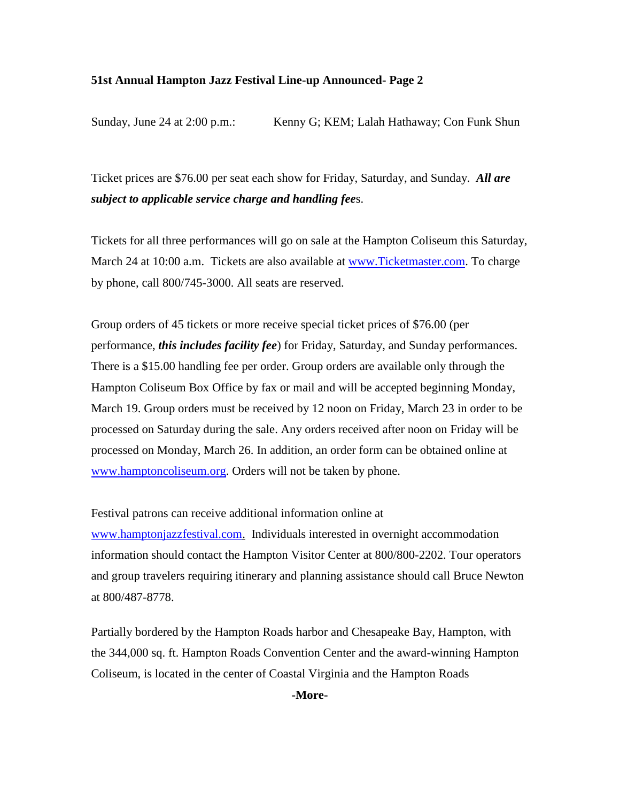#### **51st Annual Hampton Jazz Festival Line-up Announced- Page 2**

Sunday, June 24 at 2:00 p.m.: Kenny G; KEM; Lalah Hathaway; Con Funk Shun

Ticket prices are \$76.00 per seat each show for Friday, Saturday, and Sunday. *All are subject to applicable service charge and handling fee*s.

Tickets for all three performances will go on sale at the Hampton Coliseum this Saturday, March 24 at 10:00 a.m. Tickets are also available at [www.Ticketmaster.com.](http://www.ticketmaster.com/) To charge by phone, call 800/745-3000. All seats are reserved.

Group orders of 45 tickets or more receive special ticket prices of \$76.00 (per performance, *this includes facility fee*) for Friday, Saturday, and Sunday performances. There is a \$15.00 handling fee per order. Group orders are available only through the Hampton Coliseum Box Office by fax or mail and will be accepted beginning Monday, March 19. Group orders must be received by 12 noon on Friday, March 23 in order to be processed on Saturday during the sale. Any orders received after noon on Friday will be processed on Monday, March 26. In addition, an order form can be obtained online at [www.hamptoncoliseum.org.](http://www.hamptoncoliseum.org/) Orders will not be taken by phone.

Festival patrons can receive additional information online at

[www.hamptonjazzfestival.com.](http://www.hamptonjazzfestival.com/) Individuals interested in overnight accommodation information should contact the Hampton Visitor Center at 800/800-2202. Tour operators and group travelers requiring itinerary and planning assistance should call Bruce Newton at 800/487-8778.

Partially bordered by the Hampton Roads harbor and Chesapeake Bay, Hampton, with the 344,000 sq. ft. Hampton Roads Convention Center and the award-winning Hampton Coliseum, is located in the center of Coastal Virginia and the Hampton Roads

**-More-**